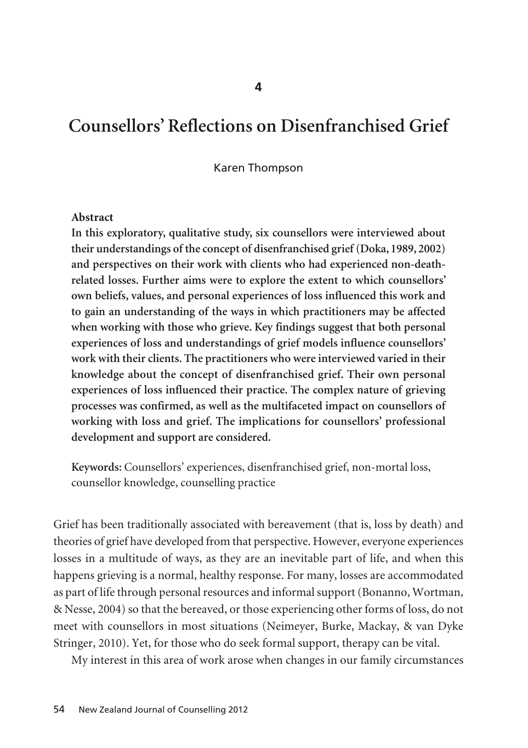# **Counsellors' Reflections on Disenfranchised Grief**

Karen Thompson

#### **Abstract**

**In this exploratory, qualitative study, six counsellors were interviewed about their understandings of the concept of disenfranchised grief (Doka, 1989, 2002) and perspectives on their work with clients who had experienced non-deathrelated losses. Further aims were to explore the extent to which counsellors' own beliefs, values, and personal experiences of loss influenced this work and to gain an understanding of the ways in which practitioners may be affected when working with those who grieve. Key findings suggest that both personal experiences of loss and understandings of grief models influence counsellors' work with their clients. The practitioners who were interviewed varied in their knowledge about the concept of disenfranchised grief. Their own personal experiences of loss influenced their practice. The complex nature of grieving processes was confirmed, as well as the multifaceted impact on counsellors of working with loss and grief. The implications for counsellors' professional development and support are considered.**

**Keywords:** Counsellors' experiences, disenfranchised grief, non-mortal loss, counsellor knowledge, counselling practice

Grief has been traditionally associated with bereavement (that is, loss by death) and theories of grief have developed from that perspective. However, everyone experiences losses in a multitude of ways, as they are an inevitable part of life, and when this happens grieving is a normal, healthy response. For many, losses are accommodated as part of life through personal resources and informal support (Bonanno, Wortman, & Nesse, 2004) so that the bereaved, or those experiencing other forms of loss, do not meet with counsellors in most situations (Neimeyer, Burke, Mackay, & van Dyke Stringer, 2010). Yet, for those who do seek formal support, therapy can be vital.

My interest in this area of work arose when changes in our family circumstances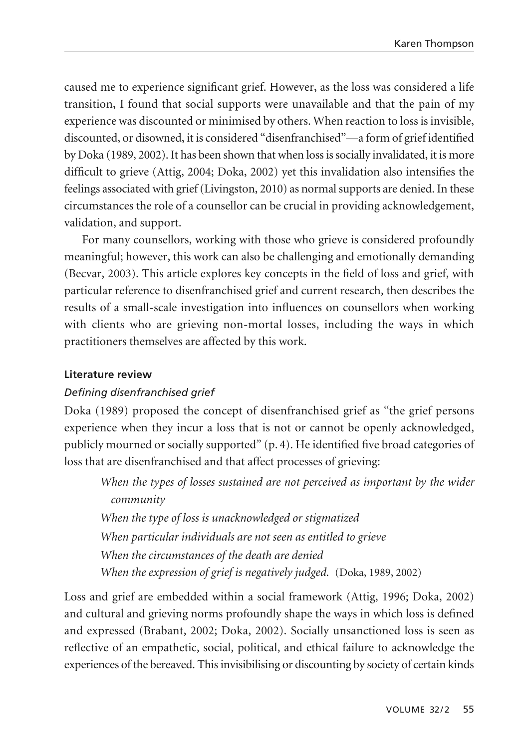caused me to experience significant grief. However, as the loss was considered a life transition, I found that social supports were unavailable and that the pain of my experience was discounted or minimised by others. When reaction to loss is invisible, discounted, or disowned, it is considered "disenfranchised"—a form of grief identified by Doka (1989, 2002). It has been shown that when loss is socially invalidated, it is more difficult to grieve (Attig, 2004; Doka, 2002) yet this invalidation also intensifies the feelings associated with grief (Livingston, 2010) as normal supports are denied. In these circumstances the role of a counsellor can be crucial in providing acknowledgement, validation, and support.

For many counsellors, working with those who grieve is considered profoundly meaningful; however, this work can also be challenging and emotionally demanding (Becvar, 2003). This article explores key concepts in the field of loss and grief, with particular reference to disenfranchised grief and current research, then describes the results of a small-scale investigation into influences on counsellors when working with clients who are grieving non-mortal losses, including the ways in which practitioners themselves are affected by this work.

#### **Literature review**

### *Defining disenfranchised grief*

Doka (1989) proposed the concept of disenfranchised grief as "the grief persons experience when they incur a loss that is not or cannot be openly acknowledged, publicly mourned or socially supported" (p. 4). He identified five broad categories of loss that are disenfranchised and that affect processes of grieving:

*When the types of losses sustained are not perceived as important by the wider community*

*When the type of loss is unacknowledged or stigmatized When particular individuals are not seen as entitled to grieve When the circumstances of the death are denied When the expression of grief is negatively judged.* (Doka, 1989, 2002)

Loss and grief are embedded within a social framework (Attig, 1996; Doka, 2002) and cultural and grieving norms profoundly shape the ways in which loss is defined and expressed (Brabant, 2002; Doka, 2002). Socially unsanctioned loss is seen as reflective of an empathetic, social, political, and ethical failure to acknowledge the experiences of the bereaved. This invisibilising or discounting by society of certain kinds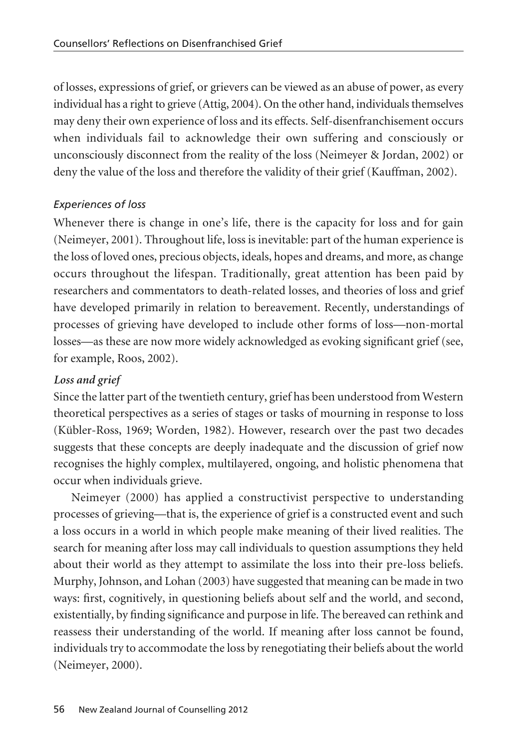of losses, expressions of grief, or grievers can be viewed as an abuse of power, as every individual has a right to grieve (Attig, 2004). On the other hand, individuals themselves may deny their own experience of loss and its effects. Self-disenfranchisement occurs when individuals fail to acknowledge their own suffering and consciously or unconsciously disconnect from the reality of the loss (Neimeyer & Jordan, 2002) or deny the value of the loss and therefore the validity of their grief (Kauffman, 2002).

## *Experiences of loss*

Whenever there is change in one's life, there is the capacity for loss and for gain (Neimeyer, 2001). Throughout life, loss is inevitable: part of the human experience is the loss of loved ones, precious objects, ideals, hopes and dreams, and more, as change occurs throughout the lifespan. Traditionally, great attention has been paid by researchers and commentators to death-related losses, and theories of loss and grief have developed primarily in relation to bereavement. Recently, understandings of processes of grieving have developed to include other forms of loss—non-mortal losses—as these are now more widely acknowledged as evoking significant grief (see, for example, Roos, 2002).

## *Loss and grief*

Since the latter part of the twentieth century, grief has been understood from Western theoretical perspectives as a series of stages or tasks of mourning in response to loss (Kübler-Ross, 1969; Worden, 1982). However, research over the past two decades suggests that these concepts are deeply inadequate and the discussion of grief now recognises the highly complex, multilayered, ongoing, and holistic phenomena that occur when individuals grieve.

Neimeyer (2000) has applied a constructivist perspective to understanding processes of grieving—that is, the experience of grief is a constructed event and such a loss occurs in a world in which people make meaning of their lived realities. The search for meaning after loss may call individuals to question assumptions they held about their world as they attempt to assimilate the loss into their pre-loss beliefs. Murphy, Johnson, and Lohan (2003) have suggested that meaning can be made in two ways: first, cognitively, in questioning beliefs about self and the world, and second, existentially, by finding significance and purpose in life. The bereaved can rethink and reassess their understanding of the world. If meaning after loss cannot be found, individuals try to accommodate the loss by renegotiating their beliefs about the world (Neimeyer, 2000).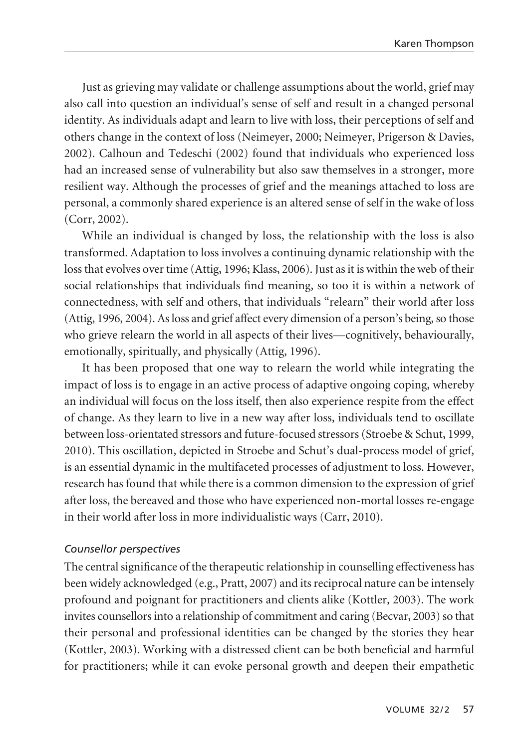Just as grieving may validate or challenge assumptions about the world, grief may also call into question an individual's sense of self and result in a changed personal identity. As individuals adapt and learn to live with loss, their perceptions of self and others change in the context of loss (Neimeyer, 2000; Neimeyer, Prigerson & Davies, 2002). Calhoun and Tedeschi (2002) found that individuals who experienced loss had an increased sense of vulnerability but also saw themselves in a stronger, more resilient way. Although the processes of grief and the meanings attached to loss are personal, a commonly shared experience is an altered sense of self in the wake of loss (Corr, 2002).

While an individual is changed by loss, the relationship with the loss is also transformed. Adaptation to loss involves a continuing dynamic relationship with the loss that evolves over time (Attig, 1996; Klass, 2006). Just as it is within the web of their social relationships that individuals find meaning, so too it is within a network of connectedness, with self and others, that individuals "relearn" their world after loss (Attig, 1996, 2004). As loss and grief affect every dimension of a person's being, so those who grieve relearn the world in all aspects of their lives—cognitively, behaviourally, emotionally, spiritually, and physically (Attig, 1996).

It has been proposed that one way to relearn the world while integrating the impact of loss is to engage in an active process of adaptive ongoing coping, whereby an individual will focus on the loss itself, then also experience respite from the effect of change. As they learn to live in a new way after loss, individuals tend to oscillate between loss-orientated stressors and future-focused stressors (Stroebe & Schut, 1999, 2010). This oscillation, depicted in Stroebe and Schut's dual-process model of grief, is an essential dynamic in the multifaceted processes of adjustment to loss. However, research has found that while there is a common dimension to the expression of grief after loss, the bereaved and those who have experienced non-mortal losses re-engage in their world after loss in more individualistic ways (Carr, 2010).

#### *Counsellor perspectives*

The central significance of the therapeutic relationship in counselling effectiveness has been widely acknowledged (e.g., Pratt, 2007) and its reciprocal nature can be intensely profound and poignant for practitioners and clients alike (Kottler, 2003). The work invites counsellors into a relationship of commitment and caring (Becvar, 2003) so that their personal and professional identities can be changed by the stories they hear (Kottler, 2003). Working with a distressed client can be both beneficial and harmful for practitioners; while it can evoke personal growth and deepen their empathetic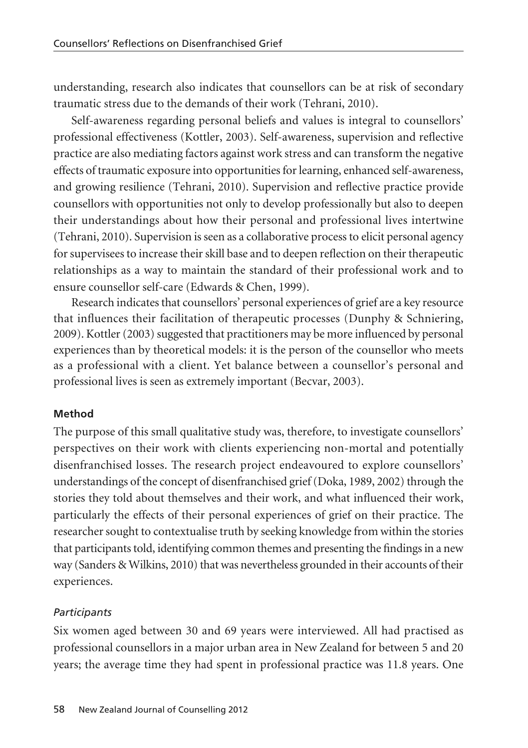understanding, research also indicates that counsellors can be at risk of secondary traumatic stress due to the demands of their work (Tehrani, 2010).

Self-awareness regarding personal beliefs and values is integral to counsellors' professional effectiveness (Kottler, 2003). Self-awareness, supervision and reflective practice are also mediating factors against work stress and can transform the negative effects of traumatic exposure into opportunities for learning, enhanced self-awareness, and growing resilience (Tehrani, 2010). Supervision and reflective practice provide counsellors with opportunities not only to develop professionally but also to deepen their understandings about how their personal and professional lives intertwine (Tehrani, 2010). Supervision is seen as a collaborative process to elicit personal agency for supervisees to increase their skill base and to deepen reflection on their therapeutic relationships as a way to maintain the standard of their professional work and to ensure counsellor self-care (Edwards & Chen, 1999).

Research indicates that counsellors' personal experiences of grief are a key resource that influences their facilitation of therapeutic processes (Dunphy & Schniering, 2009). Kottler (2003) suggested that practitioners may be more influenced by personal experiences than by theoretical models: it is the person of the counsellor who meets as a professional with a client. Yet balance between a counsellor's personal and professional lives is seen as extremely important (Becvar, 2003).

#### **Method**

The purpose of this small qualitative study was, therefore, to investigate counsellors' perspectives on their work with clients experiencing non-mortal and potentially disenfranchised losses. The research project endeavoured to explore counsellors' understandings of the concept of disenfranchised grief (Doka, 1989, 2002) through the stories they told about themselves and their work, and what influenced their work, particularly the effects of their personal experiences of grief on their practice. The researcher sought to contextualise truth by seeking knowledge from within the stories that participants told, identifying common themes and presenting the findings in a new way (Sanders & Wilkins, 2010) that was nevertheless grounded in their accounts of their experiences.

#### *Participants*

Six women aged between 30 and 69 years were interviewed. All had practised as professional counsellors in a major urban area in New Zealand for between 5 and 20 years; the average time they had spent in professional practice was 11.8 years. One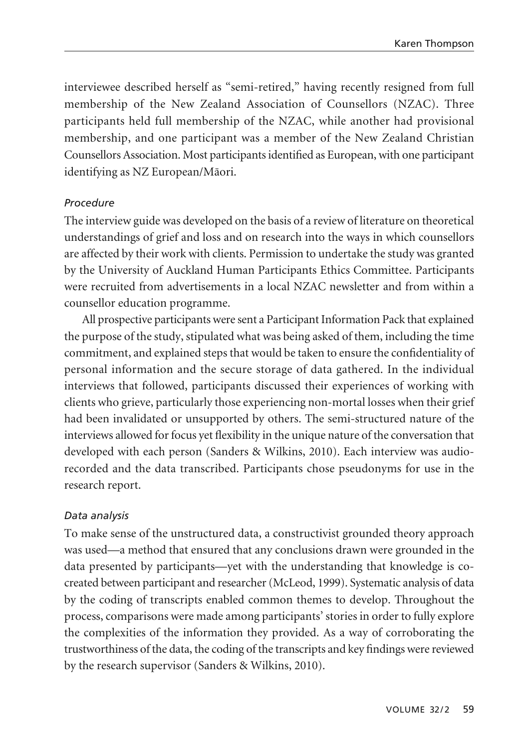interviewee described herself as "semi-retired," having recently resigned from full membership of the New Zealand Association of Counsellors (NZAC). Three participants held full membership of the NZAC, while another had provisional membership, and one participant was a member of the New Zealand Christian Counsellors Association. Most participants identified as European, with one participant identifying as NZ European/Mäori.

#### *Procedure*

The interview guide was developed on the basis of a review of literature on theoretical understandings of grief and loss and on research into the ways in which counsellors are affected by their work with clients. Permission to undertake the study was granted by the University of Auckland Human Participants Ethics Committee. Participants were recruited from advertisements in a local NZAC newsletter and from within a counsellor education programme.

All prospective participants were sent a Participant Information Pack that explained the purpose of the study, stipulated what was being asked of them, including the time commitment, and explained steps that would be taken to ensure the confidentiality of personal information and the secure storage of data gathered. In the individual interviews that followed, participants discussed their experiences of working with clients who grieve, particularly those experiencing non-mortal losses when their grief had been invalidated or unsupported by others. The semi-structured nature of the interviews allowed for focus yet flexibility in the unique nature of the conversation that developed with each person (Sanders & Wilkins, 2010). Each interview was audiorecorded and the data transcribed. Participants chose pseudonyms for use in the research report.

## *Data analysis*

To make sense of the unstructured data, a constructivist grounded theory approach was used—a method that ensured that any conclusions drawn were grounded in the data presented by participants—yet with the understanding that knowledge is cocreated between participant and researcher (McLeod, 1999). Systematic analysis of data by the coding of transcripts enabled common themes to develop. Throughout the process, comparisons were made among participants' stories in order to fully explore the complexities of the information they provided. As a way of corroborating the trustworthiness of the data, the coding of the transcripts and key findings were reviewed by the research supervisor (Sanders & Wilkins, 2010).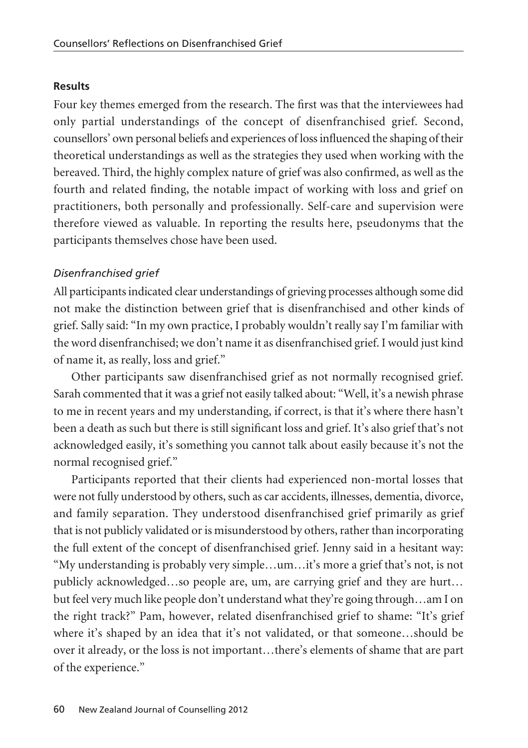#### **Results**

Four key themes emerged from the research. The first was that the interviewees had only partial understandings of the concept of disenfranchised grief. Second, counsellors' own personal beliefs and experiences of loss influenced the shaping of their theoretical understandings as well as the strategies they used when working with the bereaved. Third, the highly complex nature of grief was also confirmed, as well as the fourth and related finding, the notable impact of working with loss and grief on practitioners, both personally and professionally. Self-care and supervision were therefore viewed as valuable. In reporting the results here, pseudonyms that the participants themselves chose have been used.

#### *Disenfranchised grief*

All participants indicated clear understandings of grieving processes although some did not make the distinction between grief that is disenfranchised and other kinds of grief. Sally said: "In my own practice, I probably wouldn't really say I'm familiar with the word disenfranchised; we don't name it as disenfranchised grief. I would just kind of name it, as really, loss and grief."

Other participants saw disenfranchised grief as not normally recognised grief. Sarah commented that it was a grief not easily talked about: "Well, it's a newish phrase to me in recent years and my understanding, if correct, is that it's where there hasn't been a death as such but there is still significant loss and grief. It's also grief that's not acknowledged easily, it's something you cannot talk about easily because it's not the normal recognised grief."

Participants reported that their clients had experienced non-mortal losses that were not fully understood by others, such as car accidents, illnesses, dementia, divorce, and family separation. They understood disenfranchised grief primarily as grief that is not publicly validated or is misunderstood by others, rather than incorporating the full extent of the concept of disenfranchised grief. Jenny said in a hesitant way: "My understanding is probably very simple…um…it's more a grief that's not, is not publicly acknowledged…so people are, um, are carrying grief and they are hurt… but feel very much like people don't understand what they're going through…am I on the right track?" Pam, however, related disenfranchised grief to shame: "It's grief where it's shaped by an idea that it's not validated, or that someone…should be over it already, or the loss is not important…there's elements of shame that are part of the experience."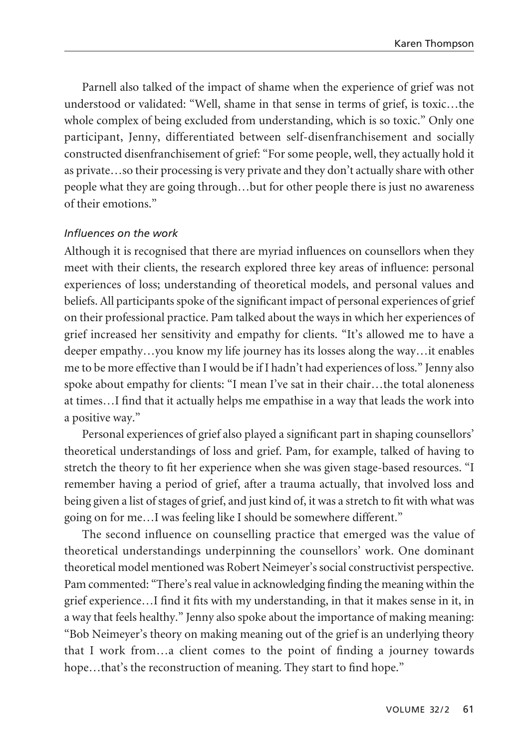Parnell also talked of the impact of shame when the experience of grief was not understood or validated: "Well, shame in that sense in terms of grief, is toxic…the whole complex of being excluded from understanding, which is so toxic." Only one participant, Jenny, differentiated between self-disenfranchisement and socially constructed disenfranchisement of grief: "For some people, well, they actually hold it as private…so their processing is very private and they don't actually share with other people what they are going through…but for other people there is just no awareness of their emotions."

#### *Influences on the work*

Although it is recognised that there are myriad influences on counsellors when they meet with their clients, the research explored three key areas of influence: personal experiences of loss; understanding of theoretical models, and personal values and beliefs. All participants spoke of the significant impact of personal experiences of grief on their professional practice. Pam talked about the ways in which her experiences of grief increased her sensitivity and empathy for clients. "It's allowed me to have a deeper empathy…you know my life journey has its losses along the way…it enables me to be more effective than I would be if I hadn't had experiences of loss." Jenny also spoke about empathy for clients: "I mean I've sat in their chair…the total aloneness at times…I find that it actually helps me empathise in a way that leads the work into a positive way."

Personal experiences of grief also played a significant part in shaping counsellors' theoretical understandings of loss and grief. Pam, for example, talked of having to stretch the theory to fit her experience when she was given stage-based resources. "I remember having a period of grief, after a trauma actually, that involved loss and being given a list of stages of grief, and just kind of, it was a stretch to fit with what was going on for me…I was feeling like I should be somewhere different."

The second influence on counselling practice that emerged was the value of theoretical understandings underpinning the counsellors' work. One dominant theoretical model mentioned was Robert Neimeyer's social constructivist perspective. Pam commented: "There's real value in acknowledging finding the meaning within the grief experience…I find it fits with my understanding, in that it makes sense in it, in a way that feels healthy." Jenny also spoke about the importance of making meaning: "Bob Neimeyer's theory on making meaning out of the grief is an underlying theory that I work from…a client comes to the point of finding a journey towards hope...that's the reconstruction of meaning. They start to find hope."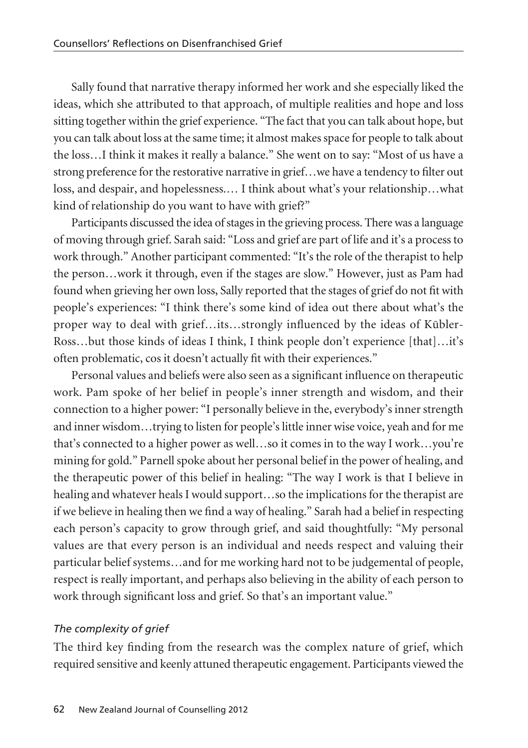Sally found that narrative therapy informed her work and she especially liked the ideas, which she attributed to that approach, of multiple realities and hope and loss sitting together within the grief experience. "The fact that you can talk about hope, but you can talk about loss at the same time; it almost makes space for people to talk about the loss…I think it makes it really a balance." She went on to say: "Most of us have a strong preference for the restorative narrative in grief…we have a tendency to filter out loss, and despair, and hopelessness.… I think about what's your relationship…what kind of relationship do you want to have with grief?"

Participants discussed the idea of stages in the grieving process. There was a language of moving through grief. Sarah said: "Loss and grief are part of life and it's a process to work through." Another participant commented: "It's the role of the therapist to help the person…work it through, even if the stages are slow." However, just as Pam had found when grieving her own loss, Sally reported that the stages of grief do not fit with people's experiences: "I think there's some kind of idea out there about what's the proper way to deal with grief...its...strongly influenced by the ideas of Kūbler-Ross…but those kinds of ideas I think, I think people don't experience [that]…it's often problematic, cos it doesn't actually fit with their experiences."

Personal values and beliefs were also seen as a significant influence on therapeutic work. Pam spoke of her belief in people's inner strength and wisdom, and their connection to a higher power: "I personally believe in the, everybody's inner strength and inner wisdom…trying to listen for people's little inner wise voice, yeah and for me that's connected to a higher power as well…so it comes in to the way I work…you're mining for gold." Parnell spoke about her personal belief in the power of healing, and the therapeutic power of this belief in healing: "The way I work is that I believe in healing and whatever heals I would support…so the implications for the therapist are if we believe in healing then we find a way of healing." Sarah had a belief in respecting each person's capacity to grow through grief, and said thoughtfully: "My personal values are that every person is an individual and needs respect and valuing their particular belief systems…and for me working hard not to be judgemental of people, respect is really important, and perhaps also believing in the ability of each person to work through significant loss and grief. So that's an important value."

#### *The complexity of grief*

The third key finding from the research was the complex nature of grief, which required sensitive and keenly attuned therapeutic engagement. Participants viewed the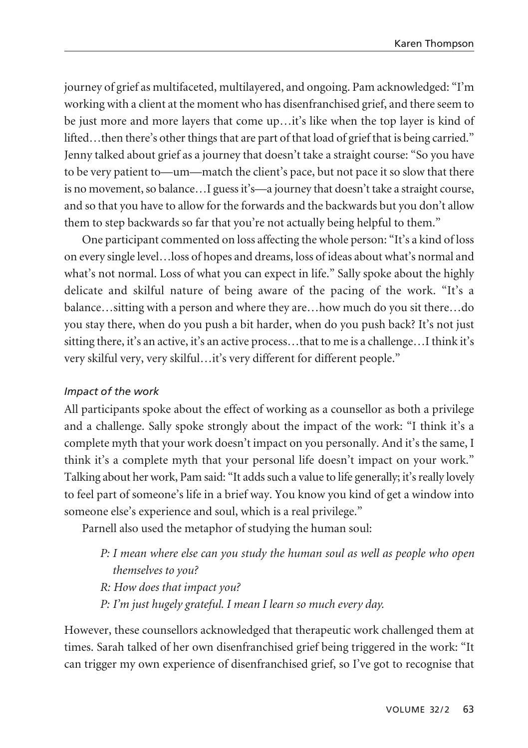journey of grief as multifaceted, multilayered, and ongoing. Pam acknowledged: "I'm working with a client at the moment who has disenfranchised grief, and there seem to be just more and more layers that come up…it's like when the top layer is kind of lifted…then there's other things that are part of that load of grief that is being carried." Jenny talked about grief as a journey that doesn't take a straight course: "So you have to be very patient to—um—match the client's pace, but not pace it so slow that there is no movement, so balance…I guess it's—a journey that doesn't take a straight course, and so that you have to allow for the forwards and the backwards but you don't allow them to step backwards so far that you're not actually being helpful to them."

One participant commented on loss affecting the whole person: "It's a kind of loss on every single level…loss of hopes and dreams, loss of ideas about what's normal and what's not normal. Loss of what you can expect in life." Sally spoke about the highly delicate and skilful nature of being aware of the pacing of the work. "It's a balance…sitting with a person and where they are…how much do you sit there…do you stay there, when do you push a bit harder, when do you push back? It's not just sitting there, it's an active, it's an active process…that to me is a challenge…I think it's very skilful very, very skilful…it's very different for different people."

## *Impact of the work*

All participants spoke about the effect of working as a counsellor as both a privilege and a challenge. Sally spoke strongly about the impact of the work: "I think it's a complete myth that your work doesn't impact on you personally. And it's the same, I think it's a complete myth that your personal life doesn't impact on your work." Talking about her work, Pam said: "It adds such a value to life generally; it's really lovely to feel part of someone's life in a brief way. You know you kind of get a window into someone else's experience and soul, which is a real privilege."

Parnell also used the metaphor of studying the human soul:

- *P: I mean where else can you study the human soul as well as people who open themselves to you?*
- *R: How does that impact you?*
- *P: I'm just hugely grateful. I mean I learn so much every day.*

However, these counsellors acknowledged that therapeutic work challenged them at times. Sarah talked of her own disenfranchised grief being triggered in the work: "It can trigger my own experience of disenfranchised grief, so I've got to recognise that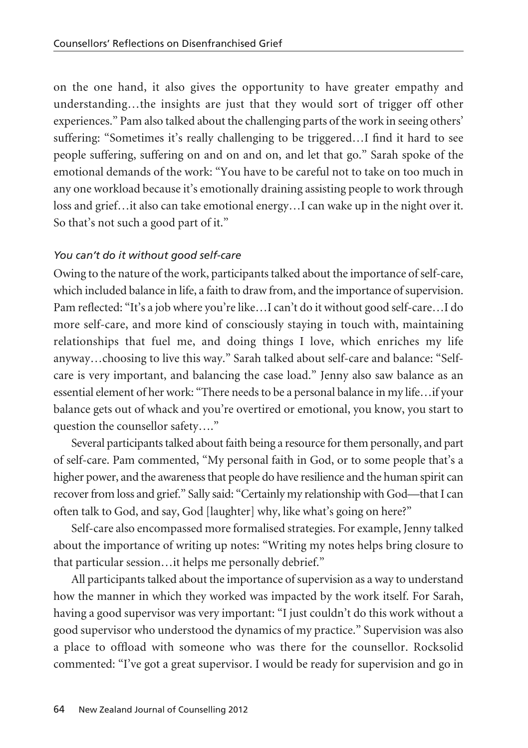on the one hand, it also gives the opportunity to have greater empathy and understanding…the insights are just that they would sort of trigger off other experiences." Pam also talked about the challenging parts of the work in seeing others' suffering: "Sometimes it's really challenging to be triggered…I find it hard to see people suffering, suffering on and on and on, and let that go." Sarah spoke of the emotional demands of the work: "You have to be careful not to take on too much in any one workload because it's emotionally draining assisting people to work through loss and grief…it also can take emotional energy…I can wake up in the night over it. So that's not such a good part of it."

## *You can't do it without good self-care*

Owing to the nature of the work, participants talked about the importance of self-care, which included balance in life, a faith to draw from, and the importance of supervision. Pam reflected: "It's a job where you're like…I can't do it without good self-care…I do more self-care, and more kind of consciously staying in touch with, maintaining relationships that fuel me, and doing things I love, which enriches my life anyway…choosing to live this way." Sarah talked about self-care and balance: "Selfcare is very important, and balancing the case load." Jenny also saw balance as an essential element of her work: "There needs to be a personal balance in my life…if your balance gets out of whack and you're overtired or emotional, you know, you start to question the counsellor safety…."

Several participants talked about faith being a resource for them personally, and part of self-care. Pam commented, "My personal faith in God, or to some people that's a higher power, and the awareness that people do have resilience and the human spirit can recover from loss and grief." Sally said: "Certainly my relationship with God—that I can often talk to God, and say, God [laughter] why, like what's going on here?"

Self-care also encompassed more formalised strategies. For example, Jenny talked about the importance of writing up notes: "Writing my notes helps bring closure to that particular session…it helps me personally debrief."

All participants talked about the importance of supervision as a way to understand how the manner in which they worked was impacted by the work itself. For Sarah, having a good supervisor was very important: "I just couldn't do this work without a good supervisor who understood the dynamics of my practice." Supervision was also a place to offload with someone who was there for the counsellor. Rocksolid commented: "I've got a great supervisor. I would be ready for supervision and go in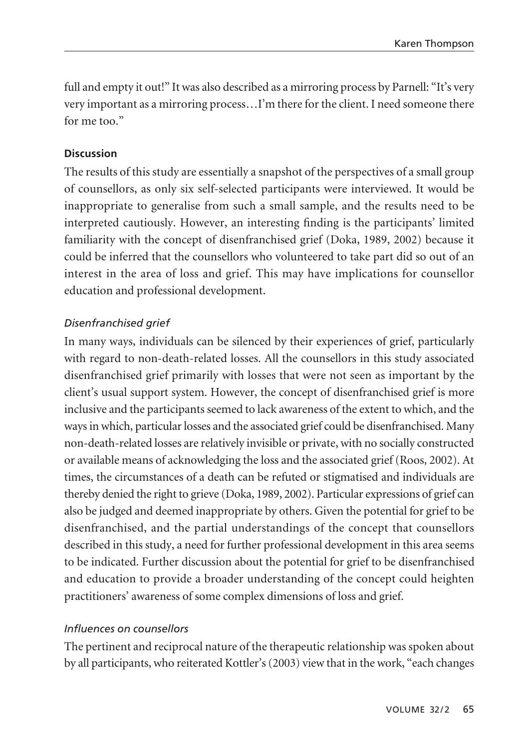full and empty it out!" It was also described as a mirroring process by Parnell: "It's very very important as a mirroring process…I'm there for the client. I need someone there for me too."

### **Discussion**

The results of this study are essentially a snapshot of the perspectives of a small group of counsellors, as only six self-selected participants were interviewed. It would be inappropriate to generalise from such a small sample, and the results need to be interpreted cautiously. However, an interesting finding is the participants' limited familiarity with the concept of disenfranchised grief (Doka, 1989, 2002) because it could be inferred that the counsellors who volunteered to take part did so out of an interest in the area of loss and grief. This may have implications for counsellor education and professional development.

## *Disenfranchised grief*

In many ways, individuals can be silenced by their experiences of grief, particularly with regard to non-death-related losses. All the counsellors in this study associated disenfranchised grief primarily with losses that were not seen as important by the client's usual support system. However, the concept of disenfranchised grief is more inclusive and the participants seemed to lack awareness of the extent to which, and the ways in which, particular losses and the associated grief could be disenfranchised. Many non-death-related losses are relatively invisible or private, with no socially constructed or available means of acknowledging the loss and the associated grief (Roos, 2002). At times, the circumstances of a death can be refuted or stigmatised and individuals are thereby denied the right to grieve (Doka, 1989, 2002). Particular expressions of grief can also be judged and deemed inappropriate by others. Given the potential for grief to be disenfranchised, and the partial understandings of the concept that counsellors described in this study, a need for further professional development in this area seems to be indicated. Further discussion about the potential for grief to be disenfranchised and education to provide a broader understanding of the concept could heighten practitioners' awareness of some complex dimensions of loss and grief.

#### *Influences on counsellors*

The pertinent and reciprocal nature of the therapeutic relationship was spoken about by all participants, who reiterated Kottler's (2003) view that in the work, "each changes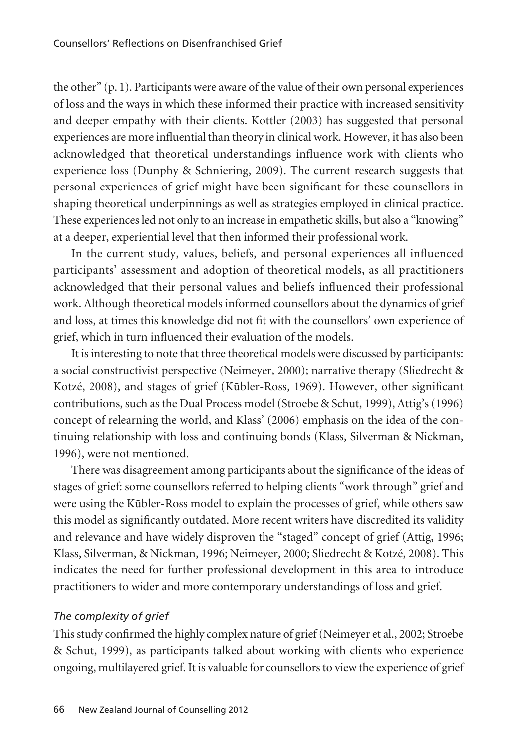the other" (p. 1). Participants were aware of the value of their own personal experiences of loss and the ways in which these informed their practice with increased sensitivity and deeper empathy with their clients. Kottler (2003) has suggested that personal experiences are more influential than theory in clinical work. However, it has also been acknowledged that theoretical understandings influence work with clients who experience loss (Dunphy & Schniering, 2009). The current research suggests that personal experiences of grief might have been significant for these counsellors in shaping theoretical underpinnings as well as strategies employed in clinical practice. These experiences led not only to an increase in empathetic skills, but also a "knowing" at a deeper, experiential level that then informed their professional work.

In the current study, values, beliefs, and personal experiences all influenced participants' assessment and adoption of theoretical models, as all practitioners acknowledged that their personal values and beliefs influenced their professional work. Although theoretical models informed counsellors about the dynamics of grief and loss, at times this knowledge did not fit with the counsellors' own experience of grief, which in turn influenced their evaluation of the models.

It is interesting to note that three theoretical models were discussed by participants: a social constructivist perspective (Neimeyer, 2000); narrative therapy (Sliedrecht & Kotzé, 2008), and stages of grief (Kūbler-Ross, 1969). However, other significant contributions, such as the Dual Process model (Stroebe & Schut, 1999), Attig's (1996) concept of relearning the world, and Klass' (2006) emphasis on the idea of the continuing relationship with loss and continuing bonds (Klass, Silverman & Nickman, 1996), were not mentioned.

There was disagreement among participants about the significance of the ideas of stages of grief: some counsellors referred to helping clients "work through" grief and were using the Kübler-Ross model to explain the processes of grief, while others saw this model as significantly outdated. More recent writers have discredited its validity and relevance and have widely disproven the "staged" concept of grief (Attig, 1996; Klass, Silverman, & Nickman, 1996; Neimeyer, 2000; Sliedrecht & Kotzé, 2008). This indicates the need for further professional development in this area to introduce practitioners to wider and more contemporary understandings of loss and grief.

## *The complexity of grief*

This study confirmed the highly complex nature of grief (Neimeyer et al., 2002; Stroebe & Schut, 1999), as participants talked about working with clients who experience ongoing, multilayered grief. It is valuable for counsellors to view the experience of grief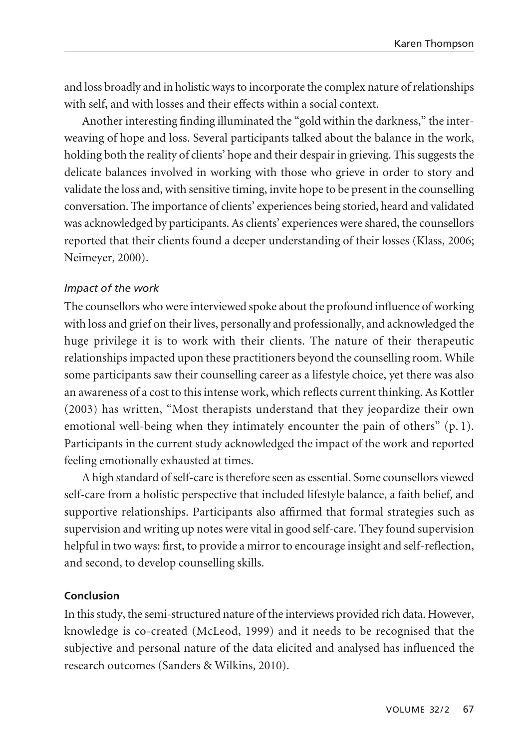and loss broadly and in holistic ways to incorporate the complex nature of relationships with self, and with losses and their effects within a social context.

Another interesting finding illuminated the "gold within the darkness," the inter weaving of hope and loss. Several participants talked about the balance in the work, holding both the reality of clients' hope and their despair in grieving. This suggests the delicate balances involved in working with those who grieve in order to story and validate the loss and, with sensitive timing, invite hope to be present in the counselling conversation. The importance of clients' experiences being storied, heard and validated was acknowledged by participants. As clients' experiences were shared, the counsellors reported that their clients found a deeper understanding of their losses (Klass, 2006; Neimeyer, 2000).

#### *Impact of the work*

The counsellors who were interviewed spoke about the profound influence of working with loss and grief on their lives, personally and professionally, and acknowledged the huge privilege it is to work with their clients. The nature of their therapeutic relationships impacted upon these practitioners beyond the counselling room. While some participants saw their counselling career as a lifestyle choice, yet there was also an awareness of a cost to this intense work, which reflects current thinking. As Kottler (2003) has written, "Most therapists understand that they jeopardize their own emotional well-being when they intimately encounter the pain of others" (p. 1). Participants in the current study acknowledged the impact of the work and reported feeling emotionally exhausted at times.

A high standard of self-care is therefore seen as essential. Some counsellors viewed self-care from a holistic perspective that included lifestyle balance, a faith belief, and supportive relationships. Participants also affirmed that formal strategies such as supervision and writing up notes were vital in good self-care. They found supervision helpful in two ways: first, to provide a mirror to encourage insight and self-reflection, and second, to develop counselling skills.

#### **Conclusion**

In this study, the semi-structured nature of the interviews provided rich data. However, knowledge is co-created (McLeod, 1999) and it needs to be recognised that the subjective and personal nature of the data elicited and analysed has influenced the research outcomes (Sanders & Wilkins, 2010).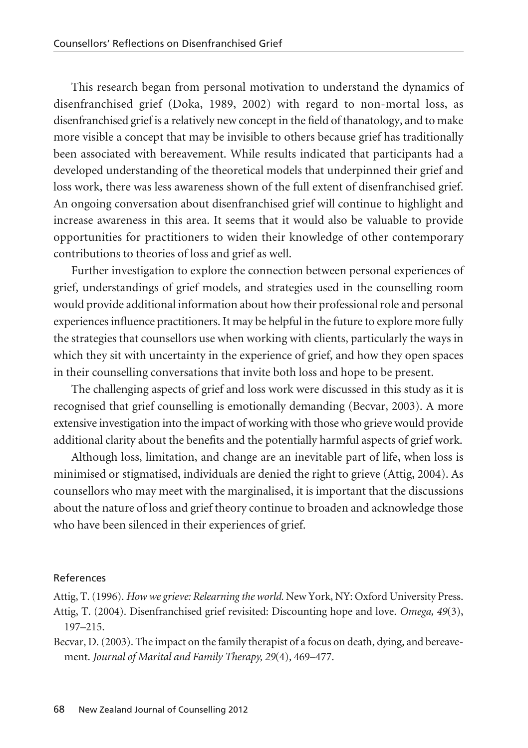This research began from personal motivation to understand the dynamics of disenfranchised grief (Doka, 1989, 2002) with regard to non-mortal loss, as disenfranchised grief is a relatively new concept in the field of thanatology, and to make more visible a concept that may be invisible to others because grief has traditionally been associated with bereavement. While results indicated that participants had a developed understanding of the theoretical models that underpinned their grief and loss work, there was less awareness shown of the full extent of disenfranchised grief. An ongoing conversation about disenfranchised grief will continue to highlight and increase awareness in this area. It seems that it would also be valuable to provide opportunities for practitioners to widen their knowledge of other contemporary contributions to theories of loss and grief as well.

Further investigation to explore the connection between personal experiences of grief, understandings of grief models, and strategies used in the counselling room would provide additional information about how their professional role and personal experiences influence practitioners. It may be helpful in the future to explore more fully the strategies that counsellors use when working with clients, particularly the ways in which they sit with uncertainty in the experience of grief, and how they open spaces in their counselling conversations that invite both loss and hope to be present.

The challenging aspects of grief and loss work were discussed in this study as it is recognised that grief counselling is emotionally demanding (Becvar, 2003). A more extensive investigation into the impact of working with those who grieve would provide additional clarity about the benefits and the potentially harmful aspects of grief work.

Although loss, limitation, and change are an inevitable part of life, when loss is minimised or stigmatised, individuals are denied the right to grieve (Attig, 2004). As counsellors who may meet with the marginalised, it is important that the discussions about the nature of loss and grief theory continue to broaden and acknowledge those who have been silenced in their experiences of grief.

#### References

Attig, T. (1996). *How we grieve: Relearning the world.* New York, NY: Oxford University Press. Attig, T. (2004). Disenfranchised grief revisited: Discounting hope and love. *Omega, 49*(3), 197–215.

Becvar, D. (2003). The impact on the family therapist of a focus on death, dying, and bereavement. *Journal of Marital and Family Therapy, 29*(4), 469–477.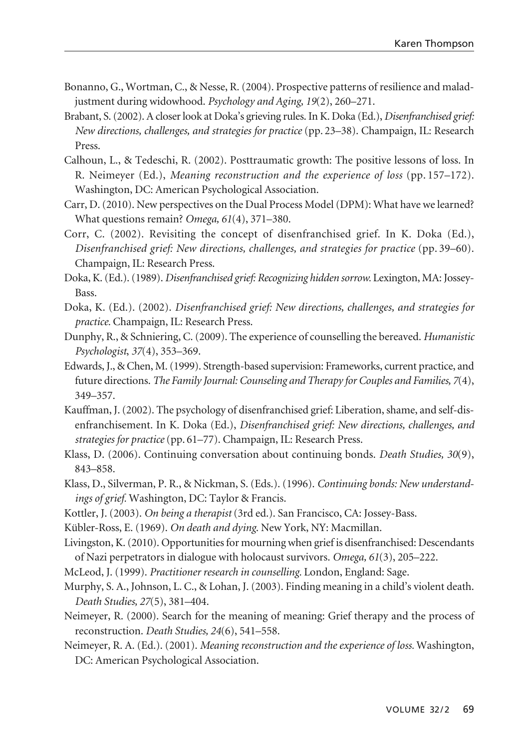- Bonanno, G., Wortman, C., & Nesse, R. (2004). Prospective patterns of resilience and maladjustment during widowhood. *Psychology and Aging, 19*(2), 260–271.
- Brabant, S. (2002). A closer look at Doka's grieving rules. In K. Doka (Ed.), *Disenfranchised grief: New directions, challenges, and strategies for practice* (pp. 23–38). Champaign, IL: Research Press.
- Calhoun, L., & Tedeschi, R. (2002). Posttraumatic growth: The positive lessons of loss. In R. Neimeyer (Ed.), *Meaning reconstruction and the experience of loss* (pp. 157–172). Washington, DC: American Psychological Association.
- Carr, D. (2010). New perspectives on the Dual Process Model (DPM): What have we learned? What questions remain? *Omega, 61*(4), 371–380.
- Corr, C. (2002). Revisiting the concept of disenfranchised grief. In K. Doka (Ed.), *Disenfranchised grief: New directions, challenges, and strategies for practice* (pp. 39–60). Champaign, IL: Research Press.
- Doka, K. (Ed.). (1989). *Disenfranchised grief: Recognizing hidden sorrow.* Lexington, MA: Jossey-Bass.
- Doka, K. (Ed.). (2002). *Disenfranchised grief: New directions, challenges, and strategies for practice.* Champaign, IL: Research Press.
- Dunphy, R., & Schniering, C. (2009). The experience of counselling the bereaved. *Humanistic Psychologist*, *37*(4), 353–369.
- Edwards, J., & Chen, M. (1999). Strength-based supervision: Frameworks, current practice, and future directions. *The Family Journal: Counseling and Therapy for Couples and Families, 7*(4), 349–357.
- Kauffman, J. (2002). The psychology of disenfranchised grief: Liberation, shame, and self-disenfranchisement. In K. Doka (Ed.), *Disenfranchised grief: New directions, challenges, and strategies for practice* (pp. 61–77). Champaign, IL: Research Press.
- Klass, D. (2006). Continuing conversation about continuing bonds. *Death Studies, 30*(9), 843–858.
- Klass, D., Silverman, P. R., & Nickman, S. (Eds.). (1996). *Continuing bonds: New understandings of grief.* Washington, DC: Taylor & Francis.
- Kottler, J. (2003). *On being a therapist* (3rd ed.). San Francisco, CA: Jossey-Bass.
- K übler-Ross, E. (1969). *On death and dying*. New York, NY: Macmillan.
- Livingston, K. (2010). Opportunities for mourning when grief is disenfranchised: Descendants of Nazi perpetrators in dialogue with holocaust survivors. *Omega, 61*(3), 205–222.
- McLeod, J. (1999). *Practitioner research in counselling.* London, England: Sage.
- Murphy, S. A., Johnson, L. C., & Lohan, J. (2003). Finding meaning in a child's violent death. *Death Studies, 27*(5), 381–404.
- Neimeyer, R. (2000). Search for the meaning of meaning: Grief therapy and the process of reconstruction. *Death Studies, 24*(6), 541–558.
- Neimeyer, R. A. (Ed.). (2001). *Meaning reconstruction and the experience of loss.* Washington, DC: American Psychological Association.